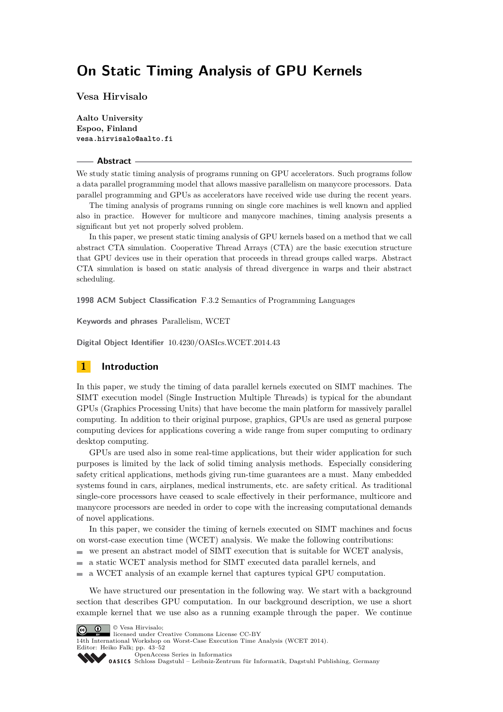**Vesa Hirvisalo**

**Aalto University Espoo, Finland vesa.hirvisalo@aalto.fi**

#### **Abstract**

We study static timing analysis of programs running on GPU accelerators. Such programs follow a data parallel programming model that allows massive parallelism on manycore processors. Data parallel programming and GPUs as accelerators have received wide use during the recent years.

The timing analysis of programs running on single core machines is well known and applied also in practice. However for multicore and manycore machines, timing analysis presents a significant but yet not properly solved problem.

In this paper, we present static timing analysis of GPU kernels based on a method that we call abstract CTA simulation. Cooperative Thread Arrays (CTA) are the basic execution structure that GPU devices use in their operation that proceeds in thread groups called warps. Abstract CTA simulation is based on static analysis of thread divergence in warps and their abstract scheduling.

**1998 ACM Subject Classification** F.3.2 Semantics of Programming Languages

**Keywords and phrases** Parallelism, WCET

**Digital Object Identifier** [10.4230/OASIcs.WCET.2014.43](http://dx.doi.org/10.4230/OASIcs.WCET.2014.43)

## **1 Introduction**

In this paper, we study the timing of data parallel kernels executed on SIMT machines. The SIMT execution model (Single Instruction Multiple Threads) is typical for the abundant GPUs (Graphics Processing Units) that have become the main platform for massively parallel computing. In addition to their original purpose, graphics, GPUs are used as general purpose computing devices for applications covering a wide range from super computing to ordinary desktop computing.

GPUs are used also in some real-time applications, but their wider application for such purposes is limited by the lack of solid timing analysis methods. Especially considering safety critical applications, methods giving run-time guarantees are a must. Many embedded systems found in cars, airplanes, medical instruments, etc. are safety critical. As traditional single-core processors have ceased to scale effectively in their performance, multicore and manycore processors are needed in order to cope with the increasing computational demands of novel applications.

In this paper, we consider the timing of kernels executed on SIMT machines and focus on worst-case execution time (WCET) analysis. We make the following contributions:

- $\blacksquare$  we present an abstract model of SIMT execution that is suitable for WCET analysis,
- a static WCET analysis method for SIMT executed data parallel kernels, and  $\rightarrow$
- a WCET analysis of an example kernel that captures typical GPU computation.  $\blacksquare$

We have structured our presentation in the following way. We start with a background section that describes GPU computation. In our background description, we use a short example kernel that we use also as a running example through the paper. We continue



licensed under Creative Commons License CC-BY

14th International Workshop on Worst-Case Execution Time Analysis (WCET 2014). Editor: Heiko Falk; pp. 43[–52](#page-9-0)

[OpenAccess Series in Informatics](http://www.dagstuhl.de/oasics/)

[Schloss Dagstuhl – Leibniz-Zentrum für Informatik, Dagstuhl Publishing, Germany](http://www.dagstuhl.de/)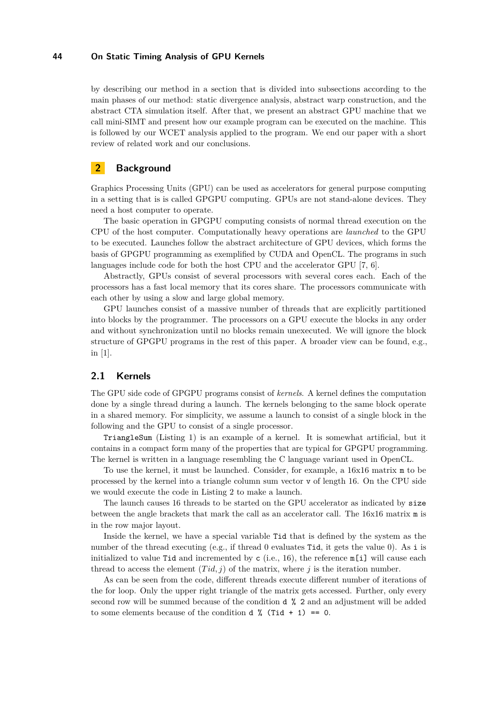by describing our method in a section that is divided into subsections according to the main phases of our method: static divergence analysis, abstract warp construction, and the abstract CTA simulation itself. After that, we present an abstract GPU machine that we call mini-SIMT and present how our example program can be executed on the machine. This is followed by our WCET analysis applied to the program. We end our paper with a short review of related work and our conclusions.

## **2 Background**

Graphics Processing Units (GPU) can be used as accelerators for general purpose computing in a setting that is is called GPGPU computing. GPUs are not stand-alone devices. They need a host computer to operate.

The basic operation in GPGPU computing consists of normal thread execution on the CPU of the host computer. Computationally heavy operations are *launched* to the GPU to be executed. Launches follow the abstract architecture of GPU devices, which forms the basis of GPGPU programming as exemplified by CUDA and OpenCL. The programs in such languages include code for both the host CPU and the accelerator GPU [\[7,](#page-9-1) [6\]](#page-9-2).

Abstractly, GPUs consist of several processors with several cores each. Each of the processors has a fast local memory that its cores share. The processors communicate with each other by using a slow and large global memory.

GPU launches consist of a massive number of threads that are explicitly partitioned into blocks by the programmer. The processors on a GPU execute the blocks in any order and without synchronization until no blocks remain unexecuted. We will ignore the block structure of GPGPU programs in the rest of this paper. A broader view can be found, e.g., in [\[1\]](#page-9-3).

## **2.1 Kernels**

The GPU side code of GPGPU programs consist of *kernels*. A kernel defines the computation done by a single thread during a launch. The kernels belonging to the same block operate in a shared memory. For simplicity, we assume a launch to consist of a single block in the following and the GPU to consist of a single processor.

TriangleSum (Listing [1\)](#page-2-0) is an example of a kernel. It is somewhat artificial, but it contains in a compact form many of the properties that are typical for GPGPU programming. The kernel is written in a language resembling the C language variant used in OpenCL.

To use the kernel, it must be launched. Consider, for example, a 16x16 matrix m to be processed by the kernel into a triangle column sum vector v of length 16. On the CPU side we would execute the code in Listing [2](#page-2-1) to make a launch.

The launch causes 16 threads to be started on the GPU accelerator as indicated by size between the angle brackets that mark the call as an accelerator call. The 16x16 matrix m is in the row major layout.

Inside the kernel, we have a special variable Tid that is defined by the system as the number of the thread executing (e.g., if thread 0 evaluates Tid, it gets the value 0). As i is initialized to value Tid and incremented by  $c$  (i.e., 16), the reference  $m[i]$  will cause each thread to access the element  $(Tid, j)$  of the matrix, where *j* is the iteration number.

As can be seen from the code, different threads execute different number of iterations of the for loop. Only the upper right triangle of the matrix gets accessed. Further, only every second row will be summed because of the condition d % 2 and an adjustment will be added to some elements because of the condition  $d \gamma$  (Tid + 1) == 0.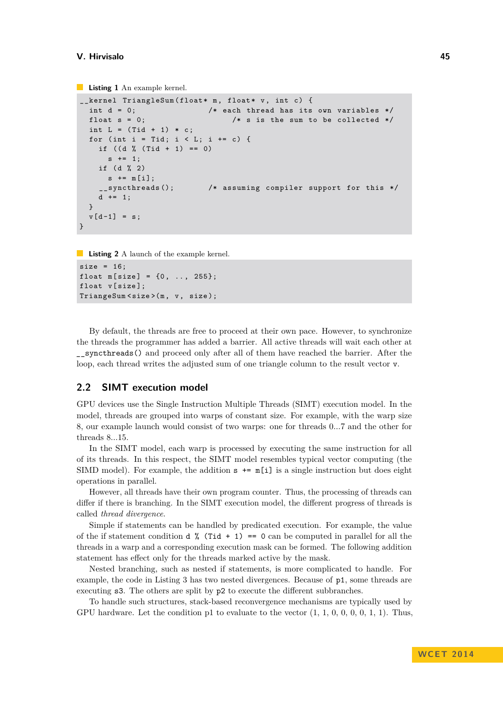#### **V. Hirvisalo 45**

```
Listing 1 An example kernel.
```

```
__kernel TriangleSum (float* m, float* v, int c) {
int d = 0; /* each thread has its own variables */float s = 0; /* s is the sum to be collected */int L = (Tid + 1) * c;for (int i = Tid; i < L; i += c) {
  if ((d \n% (Tid + 1) == 0)s += 1;
  if (d \n% 2)s += m[i];
    __syncthreads (); /* assuming compiler support for this */
  d += 1;
}
v [d-1] = s;}
```
<span id="page-2-1"></span>**Listing 2** A launch of the example kernel.

 $size = 16$ float  $m[size] = \{0, ..., 255\};$ float v[size]; TriangeSum < size > (m, v, size);

By default, the threads are free to proceed at their own pace. However, to synchronize the threads the programmer has added a barrier. All active threads will wait each other at syncthreads() and proceed only after all of them have reached the barrier. After the

loop, each thread writes the adjusted sum of one triangle column to the result vector v.

## **2.2 SIMT execution model**

GPU devices use the Single Instruction Multiple Threads (SIMT) execution model. In the model, threads are grouped into warps of constant size. For example, with the warp size 8, our example launch would consist of two warps: one for threads 0...7 and the other for threads 8...15.

In the SIMT model, each warp is processed by executing the same instruction for all of its threads. In this respect, the SIMT model resembles typical vector computing (the SIMD model). For example, the addition  $s \leftarrow m[i]$  is a single instruction but does eight operations in parallel.

However, all threads have their own program counter. Thus, the processing of threads can differ if there is branching. In the SIMT execution model, the different progress of threads is called *thread divergence*.

Simple if statements can be handled by predicated execution. For example, the value of the if statement condition d  $\%$  (Tid + 1) == 0 can be computed in parallel for all the threads in a warp and a corresponding execution mask can be formed. The following addition statement has effect only for the threads marked active by the mask.

Nested branching, such as nested if statements, is more complicated to handle. For example, the code in Listing [3](#page-3-0) has two nested divergences. Because of p1, some threads are executing s3. The others are split by p2 to execute the different subbranches.

To handle such structures, stack-based reconvergence mechanisms are typically used by GPU hardware. Let the condition p1 to evaluate to the vector  $(1, 1, 0, 0, 0, 0, 1, 1)$ . Thus,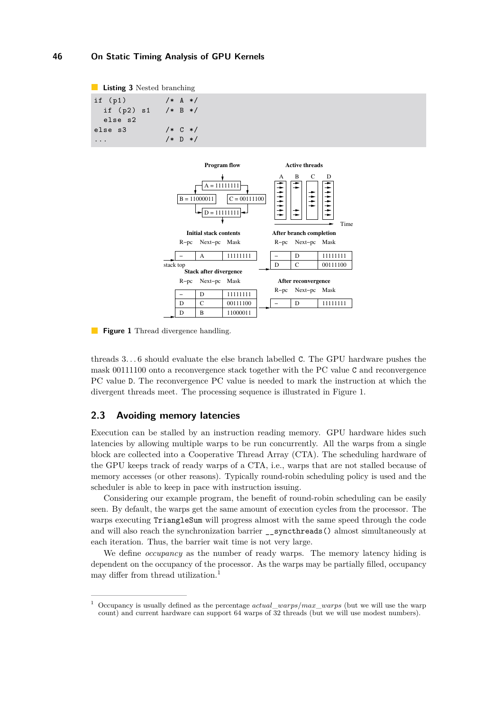<span id="page-3-0"></span>

| <b>Listing 3</b> Nested branching<br><b>The Company</b> |             |  |             |  |
|---------------------------------------------------------|-------------|--|-------------|--|
| if $(p1)$                                               |             |  | $/* A * /$  |  |
| if $(p2)$ s1                                            |             |  | $/* B * /$  |  |
| else s2                                                 |             |  |             |  |
| else s3                                                 | $/*$ C $*/$ |  |             |  |
|                                                         |             |  | $/*$ D $*/$ |  |

<span id="page-3-1"></span>

**Figure 1** Thread divergence handling.

threads 3. . . 6 should evaluate the else branch labelled C. The GPU hardware pushes the mask 00111100 onto a reconvergence stack together with the PC value C and reconvergence PC value D. The reconvergence PC value is needed to mark the instruction at which the divergent threads meet. The processing sequence is illustrated in Figure [1.](#page-3-1)

### **2.3 Avoiding memory latencies**

Execution can be stalled by an instruction reading memory. GPU hardware hides such latencies by allowing multiple warps to be run concurrently. All the warps from a single block are collected into a Cooperative Thread Array (CTA). The scheduling hardware of the GPU keeps track of ready warps of a CTA, i.e., warps that are not stalled because of memory accesses (or other reasons). Typically round-robin scheduling policy is used and the scheduler is able to keep in pace with instruction issuing.

Considering our example program, the benefit of round-robin scheduling can be easily seen. By default, the warps get the same amount of execution cycles from the processor. The warps executing TriangleSum will progress almost with the same speed through the code and will also reach the synchronization barrier \_\_syncthreads() almost simultaneously at each iteration. Thus, the barrier wait time is not very large.

We define *occupancy* as the number of ready warps. The memory latency hiding is dependent on the occupancy of the processor. As the warps may be partially filled, occupancy may differ from thread utilization.<sup>[1](#page-3-2)</sup>

<span id="page-3-2"></span><sup>1</sup> Occupancy is usually defined as the percentage *actual*\_*warps/max*\_*warps* (but we will use the warp count) and current hardware can support 64 warps of 32 threads (but we will use modest numbers).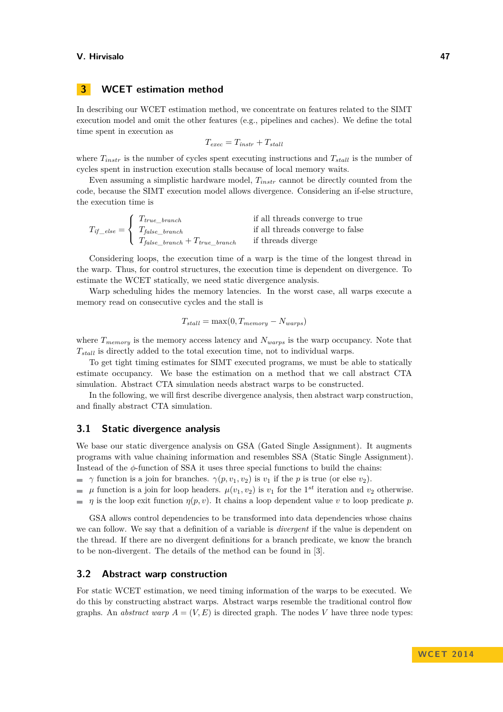## **3 WCET estimation method**

In describing our WCET estimation method, we concentrate on features related to the SIMT execution model and omit the other features (e.g., pipelines and caches). We define the total time spent in execution as

$$
T_{exec} = T_{instr} + T_{stall}
$$

where  $T_{instr}$  is the number of cycles spent executing instructions and  $T_{stall}$  is the number of cycles spent in instruction execution stalls because of local memory waits.

Even assuming a simplistic hardware model, *Tinstr* cannot be directly counted from the code, because the SIMT execution model allows divergence. Considering an if-else structure, the execution time is

 $T_{if\_else} =$  $\sqrt{ }$  $\left| \right|$  $\mathcal{L}$ *Ttrue*\_*branch* if all threads converge to true *Tfalse*\_*branch* if all threads converge to false  $T_{false\_branch} + T_{true\_branch}$  if threads diverge

Considering loops, the execution time of a warp is the time of the longest thread in the warp. Thus, for control structures, the execution time is dependent on divergence. To estimate the WCET statically, we need static divergence analysis.

Warp scheduling hides the memory latencies. In the worst case, all warps execute a memory read on consecutive cycles and the stall is

$$
T_{stall} = \max(0, T_{memory} - N_{warps})
$$

where  $T_{memory}$  is the memory access latency and  $N_{warps}$  is the warp occupancy. Note that  $T_{stall}$  is directly added to the total execution time, not to individual warps.

To get tight timing estimates for SIMT executed programs, we must be able to statically estimate occupancy. We base the estimation on a method that we call abstract CTA simulation. Abstract CTA simulation needs abstract warps to be constructed.

In the following, we will first describe divergence analysis, then abstract warp construction, and finally abstract CTA simulation.

### **3.1 Static divergence analysis**

We base our static divergence analysis on GSA (Gated Single Assignment). It augments programs with value chaining information and resembles SSA (Static Single Assignment). Instead of the *φ*-function of SSA it uses three special functions to build the chains:

 $\gamma$  function is a join for branches.  $\gamma(p, v_1, v_2)$  is  $v_1$  if the *p* is true (or else  $v_2$ ).

- $\mu$  function is a join for loop headers.  $\mu(v_1, v_2)$  is  $v_1$  for the 1<sup>st</sup> iteration and  $v_2$  otherwise.
- $\blacksquare$  *η* is the loop exit function  $\eta(p, v)$ . It chains a loop dependent value *v* to loop predicate *p*.

GSA allows control dependencies to be transformed into data dependencies whose chains we can follow. We say that a definition of a variable is *divergent* if the value is dependent on the thread. If there are no divergent definitions for a branch predicate, we know the branch to be non-divergent. The details of the method can be found in [\[3\]](#page-9-4).

## **3.2 Abstract warp construction**

For static WCET estimation, we need timing information of the warps to be executed. We do this by constructing abstract warps. Abstract warps resemble the traditional control flow graphs. An *abstract warp*  $A = (V, E)$  is directed graph. The nodes V have three node types: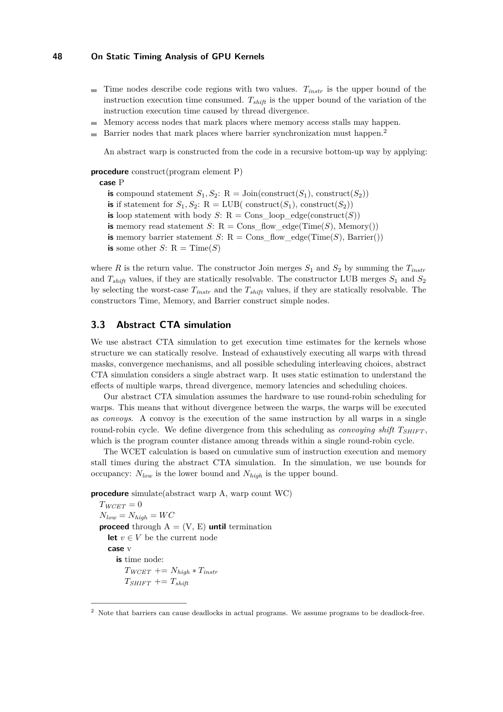- $\blacksquare$  Time nodes describe code regions with two values.  $T_{instr}$  is the upper bound of the instruction execution time consumed. *Tshift* is the upper bound of the variation of the instruction execution time caused by thread divergence.
- Memory access nodes that mark places where memory access stalls may happen. ÷
- Barrier nodes that mark places where barrier synchronization must happen.[2](#page-5-0)  $\overline{a}$

An abstract warp is constructed from the code in a recursive bottom-up way by applying:

**procedure** construct(program element P)

#### **case** P

- **is** compound statement  $S_1, S_2$ :  $R = \text{Join}(\text{construct}(S_1), \text{construct}(S_2))$
- **is** if statement for  $S_1, S_2$ : R = LUB( construct( $S_1$ ), construct( $S_2$ ))
- **is** loop statement with body *S*:  $R = Cons\_loop\_edge(construct(S))$
- **is** memory read statement *S*:  $R = Cons\_flow\_edge(Time(S), Memory())$
- **is** memory barrier statement *S*:  $R = Cons$  flow edge(Time(*S*), Barrier())
- **is** some other *S*:  $R = Time(S)$

where *R* is the return value. The constructor Join merges  $S_1$  and  $S_2$  by summing the  $T_{instr}$ and  $T_{shift}$  values, if they are statically resolvable. The constructor LUB merges  $S_1$  and  $S_2$ by selecting the worst-case *Tinstr* and the *Tshift* values, if they are statically resolvable. The constructors Time, Memory, and Barrier construct simple nodes.

### **3.3 Abstract CTA simulation**

We use abstract CTA simulation to get execution time estimates for the kernels whose structure we can statically resolve. Instead of exhaustively executing all warps with thread masks, convergence mechanisms, and all possible scheduling interleaving choices, abstract CTA simulation considers a single abstract warp. It uses static estimation to understand the effects of multiple warps, thread divergence, memory latencies and scheduling choices.

Our abstract CTA simulation assumes the hardware to use round-robin scheduling for warps. This means that without divergence between the warps, the warps will be executed as *convoys*. A convoy is the execution of the same instruction by all warps in a single round-robin cycle. We define divergence from this scheduling as *convoying shift*  $T_{SHFT}$ , which is the program counter distance among threads within a single round-robin cycle.

The WCET calculation is based on cumulative sum of instruction execution and memory stall times during the abstract CTA simulation. In the simulation, we use bounds for occupancy: *Nlow* is the lower bound and *Nhigh* is the upper bound.

**procedure** simulate(abstract warp A, warp count WC)

 $T_{WCET} = 0$  $N_{low} = N_{high} = WC$ **proceed** through  $A = (V, E)$  **until** termination **let**  $v \in V$  be the current node **case** v **is** time node:  $T_{WCET}$  +=  $N_{high} * T_{instr}$  $T_{SHIFT}$  +=  $T_{shift}$ 

<span id="page-5-0"></span> $2$  Note that barriers can cause deadlocks in actual programs. We assume programs to be deadlock-free.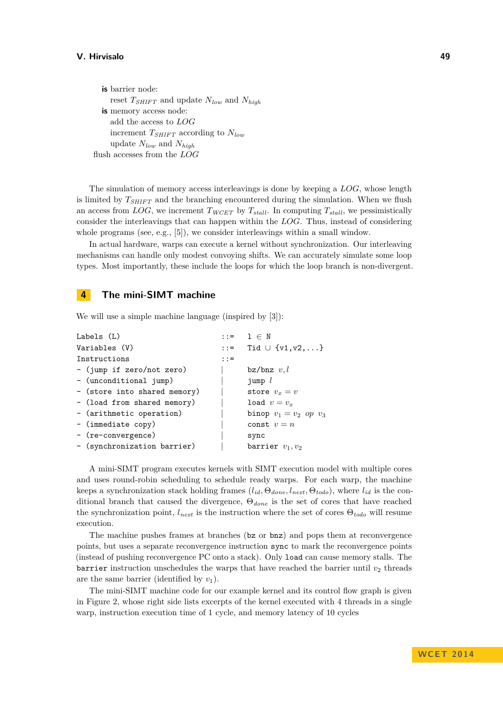#### **V. Hirvisalo 49**

**is** barrier node: reset *TSHIFT* and update *Nlow* and *Nhigh* **is** memory access node: add the access to *LOG* increment *TSHIFT* according to *Nlow* update *Nlow* and *Nhigh* flush accesses from the *LOG*

The simulation of memory access interleavings is done by keeping a *LOG*, whose length is limited by *TSHIFT* and the branching encountered during the simulation. When we flush an access from *LOG*, we increment  $T_{WCEPT}$  by  $T_{stall}$ . In computing  $T_{stall}$ , we pessimistically consider the interleavings that can happen within the *LOG*. Thus, instead of considering whole programs (see, e.g., [\[5\]](#page-9-5)), we consider interleavings within a small window.

In actual hardware, warps can execute a kernel without synchronization. Our interleaving mechanisms can handle only modest convoying shifts. We can accurately simulate some loop types. Most importantly, these include the loops for which the loop branch is non-divergent.

## **4 The mini-SIMT machine**

We will use a simple machine language (inspired by [\[3\]](#page-9-4)):

| Labels (L)                   |         | $\cdot : = 1 \in N$        |
|------------------------------|---------|----------------------------|
| Variables (V)                |         | ::= Tid $\cup$ {v1, v2,}   |
| Instructions                 | $: : =$ |                            |
| - (jump if zero/not zero)    |         | $bz/bnz$ $v, l$            |
| - (unconditional jump)       |         | jump $l$                   |
| - (store into shared memory) |         | store $v_x = v$            |
| - (load from shared memory)  |         | load $v = v_x$             |
| - (arithmetic operation)     |         | binop $v_1 = v_2$ op $v_3$ |
| - (immediate copy)           |         | const $v = n$              |
| - (re-convergence)           |         | sync                       |
| - (synchronization barrier)  |         | barrier $v_1, v_2$         |
|                              |         |                            |

A mini-SIMT program executes kernels with SIMT execution model with multiple cores and uses round-robin scheduling to schedule ready warps. For each warp, the machine keeps a synchronization stack holding frames  $(l_{id}, \Theta_{done}, l_{next}, \Theta_{todo})$ , where  $l_{id}$  is the conditional branch that caused the divergence, Θ*done* is the set of cores that have reached the synchronization point, *lnext* is the instruction where the set of cores Θ*todo* will resume execution.

The machine pushes frames at branches (bz or bnz) and pops them at reconvergence points, but uses a separate reconvergence instruction sync to mark the reconvergence points (instead of pushing reconvergence PC onto a stack). Only load can cause memory stalls. The barrier instruction unschedules the warps that have reached the barrier until  $v_2$  threads are the same barrier (identified by  $v_1$ ).

The mini-SIMT machine code for our example kernel and its control flow graph is given in Figure [2,](#page-7-0) whose right side lists excerpts of the kernel executed with 4 threads in a single warp, instruction execution time of 1 cycle, and memory latency of 10 cycles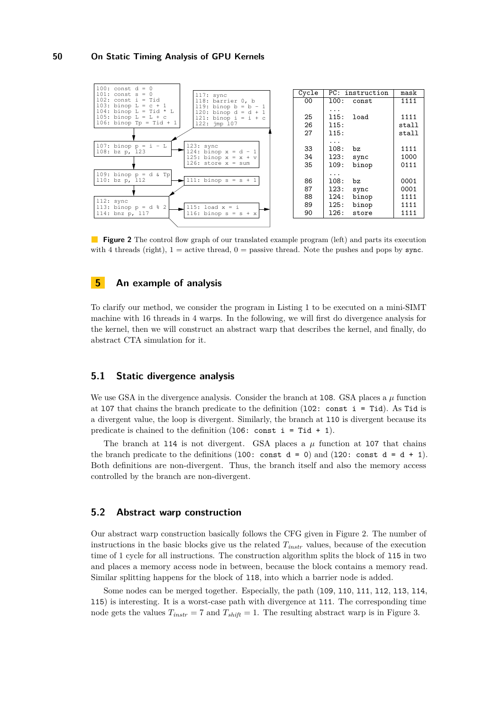<span id="page-7-0"></span>

**Figure 2** The control flow graph of our translated example program (left) and parts its execution with 4 threads (right),  $1 =$  active thread,  $0 =$  passive thread. Note the pushes and pops by sync.

## **5 An example of analysis**

To clarify our method, we consider the program in Listing [1](#page-2-0) to be executed on a mini-SIMT machine with 16 threads in 4 warps. In the following, we will first do divergence analysis for the kernel, then we will construct an abstract warp that describes the kernel, and finally, do abstract CTA simulation for it.

## **5.1 Static divergence analysis**

We use GSA in the divergence analysis. Consider the branch at 108. GSA places a  $\mu$  function at l07 that chains the branch predicate to the definition (l02: const i = Tid). As Tid is a divergent value, the loop is divergent. Similarly, the branch at l10 is divergent because its predicate is chained to the definition (106: const  $i = Tid + 1$ ).

The branch at 114 is not divergent. GSA places a  $\mu$  function at 107 that chains the branch predicate to the definitions (100: const  $d = 0$ ) and (120: const  $d = d + 1$ ). Both definitions are non-divergent. Thus, the branch itself and also the memory access controlled by the branch are non-divergent.

#### **5.2 Abstract warp construction**

Our abstract warp construction basically follows the CFG given in Figure [2.](#page-7-0) The number of instructions in the basic blocks give us the related *Tinstr* values, because of the execution time of 1 cycle for all instructions. The construction algorithm splits the block of l15 in two and places a memory access node in between, because the block contains a memory read. Similar splitting happens for the block of l18, into which a barrier node is added.

Some nodes can be merged together. Especially, the path (l09, l10, l11, l12, l13, l14, l15) is interesting. It is a worst-case path with divergence at l11. The corresponding time node gets the values  $T_{instr} = 7$  and  $T_{shift} = 1$ . The resulting abstract warp is in Figure [3.](#page-8-0)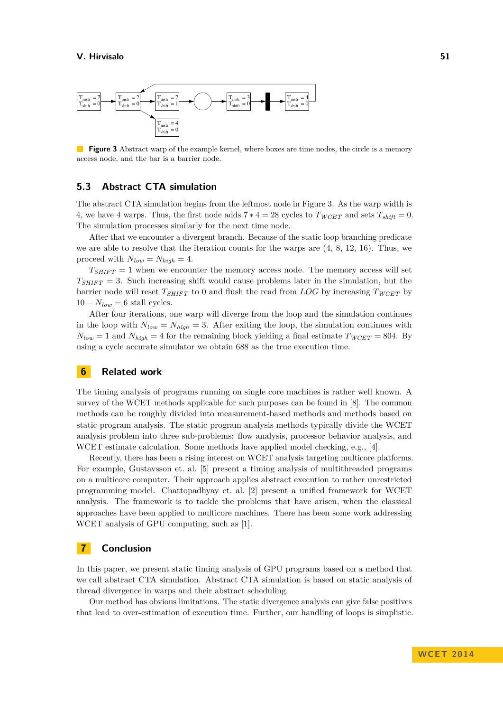<span id="page-8-0"></span>

**Figure 3** Abstract warp of the example kernel, where boxes are time nodes, the circle is a memory access node, and the bar is a barrier node.

### **5.3 Abstract CTA simulation**

The abstract CTA simulation begins from the leftmost node in Figure [3.](#page-8-0) As the warp width is 4, we have 4 warps. Thus, the first node adds  $7 * 4 = 28$  cycles to  $T_{WCEPT}$  and sets  $T_{shift} = 0$ . The simulation processes similarly for the next time node.

After that we encounter a divergent branch. Because of the static loop branching predicate we are able to resolve that the iteration counts for the warps are  $(4, 8, 12, 16)$ . Thus, we proceed with  $N_{low} = N_{high} = 4$ .

 $T_{SHFT} = 1$  when we encounter the memory access node. The memory access will set  $T_{SHIFT}$  = 3. Such increasing shift would cause problems later in the simulation, but the barrier node will reset  $T_{SHFT}$  to 0 and flush the read from *LOG* by increasing  $T_{WCET}$  by  $10 - N_{low} = 6$  stall cycles.

After four iterations, one warp will diverge from the loop and the simulation continues in the loop with  $N_{low} = N_{high} = 3$ . After exiting the loop, the simulation continues with  $N_{low} = 1$  and  $N_{high} = 4$  for the remaining block yielding a final estimate  $T_{WCET} = 804$ . By using a cycle accurate simulator we obtain 688 as the true execution time.

## **6 Related work**

The timing analysis of programs running on single core machines is rather well known. A survey of the WCET methods applicable for such purposes can be found in [\[8\]](#page-9-6). The common methods can be roughly divided into measurement-based methods and methods based on static program analysis. The static program analysis methods typically divide the WCET analysis problem into three sub-problems: flow analysis, processor behavior analysis, and WCET estimate calculation. Some methods have applied model checking, e.g., [\[4\]](#page-9-7).

Recently, there has been a rising interest on WCET analysis targeting multicore platforms. For example, Gustavsson et. al. [\[5\]](#page-9-5) present a timing analysis of multithreaded programs on a multicore computer. Their approach applies abstract execution to rather unrestricted programming model. Chattopadhyay et. al. [\[2\]](#page-9-8) present a unified framework for WCET analysis. The framework is to tackle the problems that have arisen, when the classical approaches have been applied to multicore machines. There has been some work addressing WCET analysis of GPU computing, such as [\[1\]](#page-9-3).

## **7 Conclusion**

In this paper, we present static timing analysis of GPU programs based on a method that we call abstract CTA simulation. Abstract CTA simulation is based on static analysis of thread divergence in warps and their abstract scheduling.

Our method has obvious limitations. The static divergence analysis can give false positives that lead to over-estimation of execution time. Further, our handling of loops is simplistic.